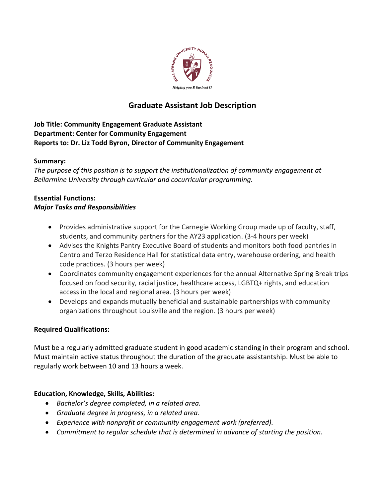

## **Graduate Assistant Job Description**

### **Job Title: Community Engagement Graduate Assistant Department: Center for Community Engagement Reports to: Dr. Liz Todd Byron, Director of Community Engagement**

#### **Summary:**

*The purpose of this position is to support the institutionalization of community engagement at Bellarmine University through curricular and cocurricular programming.* 

# **Essential Functions:**

#### *Major Tasks and Responsibilities*

- Provides administrative support for the Carnegie Working Group made up of faculty, staff, students, and community partners for the AY23 application. (3-4 hours per week)
- Advises the Knights Pantry Executive Board of students and monitors both food pantries in Centro and Terzo Residence Hall for statistical data entry, warehouse ordering, and health code practices. (3 hours per week)
- Coordinates community engagement experiences for the annual Alternative Spring Break trips focused on food security, racial justice, healthcare access, LGBTQ+ rights, and education access in the local and regional area. (3 hours per week)
- Develops and expands mutually beneficial and sustainable partnerships with community organizations throughout Louisville and the region. (3 hours per week)

#### **Required Qualifications:**

Must be a regularly admitted graduate student in good academic standing in their program and school. Must maintain active status throughout the duration of the graduate assistantship. Must be able to regularly work between 10 and 13 hours a week.

#### **Education, Knowledge, Skills, Abilities:**

- *Bachelor's degree completed, in a related area.*
- *Graduate degree in progress, in a related area.*
- *Experience with nonprofit or community engagement work (preferred).*
- *Commitment to regular schedule that is determined in advance of starting the position.*